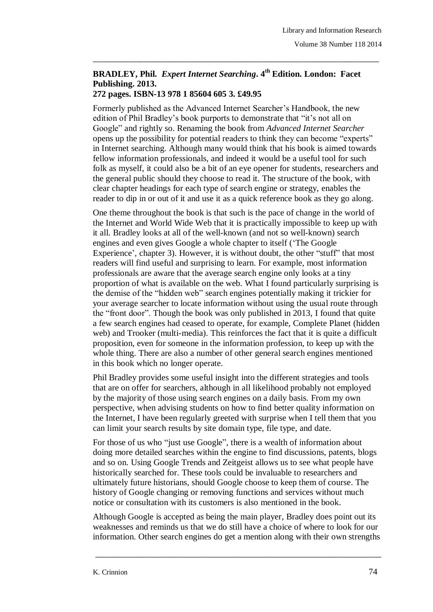## **BRADLEY, Phil.** *Expert Internet Searching***. 4 th Edition. London: Facet Publishing. 2013.**

\_\_\_\_\_\_\_\_\_\_\_\_\_\_\_\_\_\_\_\_\_\_\_\_\_\_\_\_\_\_\_\_\_\_\_\_\_\_\_\_\_\_\_\_\_\_\_\_\_\_\_\_\_\_\_\_\_\_\_\_\_\_\_\_\_\_\_\_\_\_\_\_\_\_\_\_\_\_\_

## **272 pages. ISBN-13 978 1 85604 605 3. £49.95**

Formerly published as the Advanced Internet Searcher"s Handbook, the new edition of Phil Bradley's book purports to demonstrate that "it's not all on Google" and rightly so. Renaming the book from *Advanced Internet Searcher* opens up the possibility for potential readers to think they can become "experts" in Internet searching. Although many would think that his book is aimed towards fellow information professionals, and indeed it would be a useful tool for such folk as myself, it could also be a bit of an eye opener for students, researchers and the general public should they choose to read it. The structure of the book, with clear chapter headings for each type of search engine or strategy, enables the reader to dip in or out of it and use it as a quick reference book as they go along.

One theme throughout the book is that such is the pace of change in the world of the Internet and World Wide Web that it is practically impossible to keep up with it all. Bradley looks at all of the well-known (and not so well-known) search engines and even gives Google a whole chapter to itself ("The Google Experience', chapter 3). However, it is without doubt, the other "stuff" that most readers will find useful and surprising to learn. For example, most information professionals are aware that the average search engine only looks at a tiny proportion of what is available on the web. What I found particularly surprising is the demise of the "hidden web" search engines potentially making it trickier for your average searcher to locate information without using the usual route through the "front door". Though the book was only published in 2013, I found that quite a few search engines had ceased to operate, for example, Complete Planet (hidden web) and Trooker (multi-media). This reinforces the fact that it is quite a difficult proposition, even for someone in the information profession, to keep up with the whole thing. There are also a number of other general search engines mentioned in this book which no longer operate.

Phil Bradley provides some useful insight into the different strategies and tools that are on offer for searchers, although in all likelihood probably not employed by the majority of those using search engines on a daily basis. From my own perspective, when advising students on how to find better quality information on the Internet, I have been regularly greeted with surprise when I tell them that you can limit your search results by site domain type, file type, and date.

For those of us who "just use Google", there is a wealth of information about doing more detailed searches within the engine to find discussions, patents, blogs and so on. Using Google Trends and Zeitgeist allows us to see what people have historically searched for. These tools could be invaluable to researchers and ultimately future historians, should Google choose to keep them of course. The history of Google changing or removing functions and services without much notice or consultation with its customers is also mentioned in the book.

Although Google is accepted as being the main player, Bradley does point out its weaknesses and reminds us that we do still have a choice of where to look for our information. Other search engines do get a mention along with their own strengths

\_\_\_\_\_\_\_\_\_\_\_\_\_\_\_\_\_\_\_\_\_\_\_\_\_\_\_\_\_\_\_\_\_\_\_\_\_\_\_\_\_\_\_\_\_\_\_\_\_\_\_\_\_\_\_\_\_\_\_\_\_\_\_\_\_\_\_\_\_\_\_\_\_\_\_\_\_\_\_